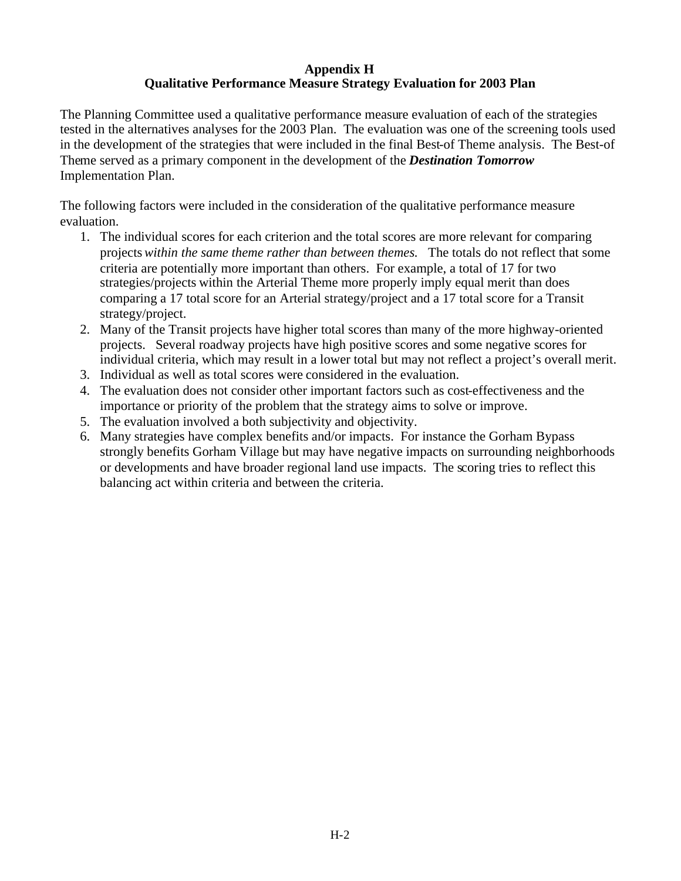The Planning Committee used a qualitative performance measure evaluation of each of the strategies tested in the alternatives analyses for the 2003 Plan. The evaluation was one of the screening tools used in the development of the strategies that were included in the final Best-of Theme analysis. The Best-of Theme served as a primary component in the development of the *Destination Tomorrow* Implementation Plan.

The following factors were included in the consideration of the qualitative performance measure evaluation.

- 1. The individual scores for each criterion and the total scores are more relevant for comparing projects *within the same theme rather than between themes.* The totals do not reflect that some criteria are potentially more important than others. For example, a total of 17 for two strategies/projects within the Arterial Theme more properly imply equal merit than does comparing a 17 total score for an Arterial strategy/project and a 17 total score for a Transit strategy/project.
- 2. Many of the Transit projects have higher total scores than many of the more highway-oriented projects. Several roadway projects have high positive scores and some negative scores for individual criteria, which may result in a lower total but may not reflect a project's overall merit.
- 3. Individual as well as total scores were considered in the evaluation.
- 4. The evaluation does not consider other important factors such as cost-effectiveness and the importance or priority of the problem that the strategy aims to solve or improve.
- 5. The evaluation involved a both subjectivity and objectivity.
- 6. Many strategies have complex benefits and/or impacts. For instance the Gorham Bypass strongly benefits Gorham Village but may have negative impacts on surrounding neighborhoods or developments and have broader regional land use impacts. The scoring tries to reflect this balancing act within criteria and between the criteria.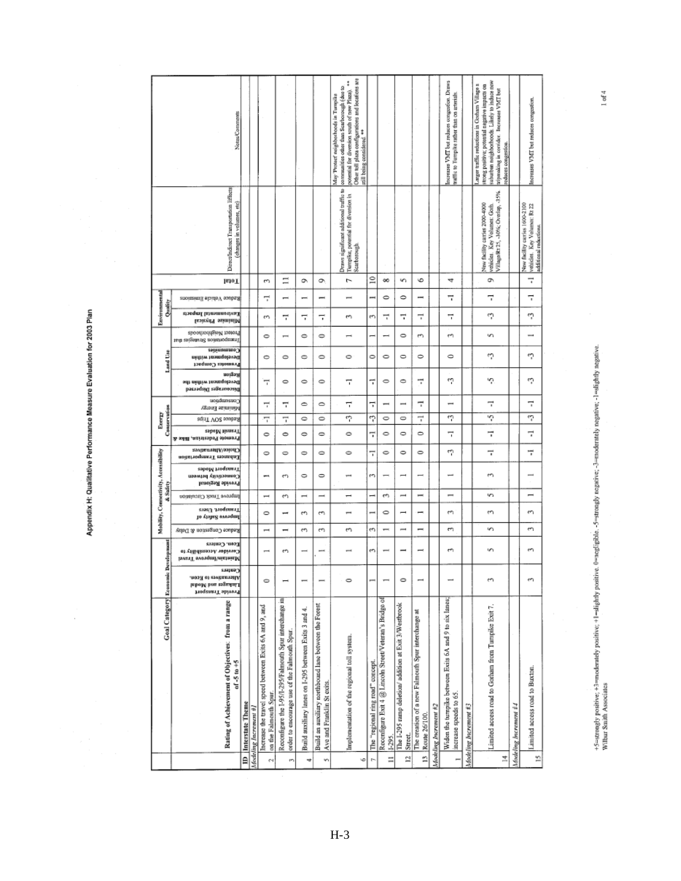|                                                                                                         | Goal Category Economic Development                      |                                                                                                                   |                                            |                               |                                               | Mobility, Connectivity, Accossibility<br>& Safety |                                                                   |                                               | Conservation<br>Energy     |                                         |                                                           | Land Use                                             |                                                       |                                                     | Environmental<br>Ounlity   |            |                                                                                                    |                                                                                                                                                                                                                            |
|---------------------------------------------------------------------------------------------------------|---------------------------------------------------------|-------------------------------------------------------------------------------------------------------------------|--------------------------------------------|-------------------------------|-----------------------------------------------|---------------------------------------------------|-------------------------------------------------------------------|-----------------------------------------------|----------------------------|-----------------------------------------|-----------------------------------------------------------|------------------------------------------------------|-------------------------------------------------------|-----------------------------------------------------|----------------------------|------------|----------------------------------------------------------------------------------------------------|----------------------------------------------------------------------------------------------------------------------------------------------------------------------------------------------------------------------------|
| Rating of Achievement of Objectives: from a range<br>of-5 to $+5$                                       | anoquaraT ahiyo:1                                       | Corrédor Accessibility to<br>ləvayT əvənqmi\nistnis.M<br>Centers<br>Alternatives to Econ.<br>icbolf bas againis.1 | γsbore Congestion & Delay<br>Ecen. Centers | lo vishe8 sveyqmI             | Improve Truck Circulation<br>enself duoqumerT | Connectivity between<br><b>IsneigeA</b> shiver¶   | Choice/Alternatives<br>modalvoqenerT esonsnin3<br>asboM ranqzmarT | esbol/i tizmerT<br>Promote Pedestrian, Bile & | sqirT VOR souba <i>l</i> i | <b>uogdunsuo</b> g<br>vgrand eximinibil | noigaR<br>sdt nidtiw tesmqolsvs@<br>Discourages Dispersor | Соднинный<br>niitliw tasmqolsvsG<br>Promotes Compact | shoodtoddsiah toator5<br>tell saigstard? nonetopenerT | itavironmental Impact<br><b>Insteroit suiminité</b> | anoisaintii alaidaV souba@ | lsto'l     | Direct/Indirect Transportation Effects<br>(changes in volumes, etc)                                | Notes/Comments                                                                                                                                                                                                             |
| ID Interstate Theme                                                                                     |                                                         |                                                                                                                   |                                            |                               |                                               |                                                   |                                                                   |                                               |                            |                                         |                                                           |                                                      |                                                       |                                                     |                            |            |                                                                                                    |                                                                                                                                                                                                                            |
| Modeling Increment #1                                                                                   |                                                         |                                                                                                                   |                                            |                               |                                               |                                                   |                                                                   |                                               |                            |                                         |                                                           |                                                      |                                                       |                                                     |                            |            |                                                                                                    |                                                                                                                                                                                                                            |
| Increase the travel speed between Exits 6A and 9, and<br>on the Falmouth Spur.                          |                                                         | Ó                                                                                                                 | $\overline{\phantom{0}}$                   | O<br>$\overline{\phantom{a}}$ | $\overline{\phantom{0}}$                      |                                                   | 0                                                                 | 0                                             | π                          | 7                                       | 7                                                         | 0                                                    | ۰                                                     | m                                                   | 7                          | 3          |                                                                                                    |                                                                                                                                                                                                                            |
| Reconfigure the I-95/I-295/Falmouth Spur interchange in<br>order to encourage use of the Falmouth Spur. |                                                         |                                                                                                                   | c                                          | ÷<br>−                        | S                                             | m                                                 | $\circ$                                                           | ۰                                             | T                          | 7                                       | 0                                                         | ٥                                                    | $\overline{\phantom{a}}$                              | π                                                   | $\overline{\phantom{a}}$   |            |                                                                                                    |                                                                                                                                                                                                                            |
| Build auxiliary lanes on I-295 between Exits 3 and 4.                                                   |                                                         |                                                                                                                   | $\overline{\phantom{0}}$                   | m<br>c                        |                                               | 0                                                 | ¢                                                                 | ¢                                             | 0                          | ⇨                                       | 0                                                         | 0                                                    | ۰                                                     | 7                                                   |                            | ۰          |                                                                                                    |                                                                                                                                                                                                                            |
| Build an auxiliary northbound lane between the Forest<br>Ave and Franklin St exits.                     |                                                         |                                                                                                                   |                                            | E<br>m                        |                                               | 0                                                 | 0                                                                 | 0                                             | 0                          | 0                                       | 0                                                         | 0                                                    | 0                                                     | 7                                                   | $\overline{\phantom{0}}$   | o,         |                                                                                                    |                                                                                                                                                                                                                            |
| Implementation of the regional toll system.                                                             |                                                         | $\circ$                                                                                                           | $\overline{\phantom{a}}$                   | $\overline{\phantom{0}}$<br>E |                                               | m                                                 | 0                                                                 | ٥                                             | φ                          | π                                       | ᅲ                                                         | 0                                                    |                                                       | E                                                   | $\overline{\phantom{0}}$   | r          | Draws significant additional traffic to<br>Turnpike, potential for diversion in<br>Scarborough     | Other toll plaza configurations and locations are<br>potential for diversion south of new Plaza). **<br>communities other than Searborough (due to<br>May 'Protect neighborhoods in Turnpile<br>still being considered. ** |
| The "regional ring road" concept.                                                                       |                                                         |                                                                                                                   | 3                                          | m                             |                                               | m                                                 | π                                                                 | 7                                             | η                          | 7                                       | 7                                                         | 0                                                    |                                                       | 3                                                   |                            | $\approx$  |                                                                                                    |                                                                                                                                                                                                                            |
| 1-295.                                                                                                  | Reconfigure Exit 4 @ Lincoln Street/Veteran's Bridge of |                                                                                                                   | $\overline{\phantom{0}}$                   | 0                             | c                                             |                                                   | 0                                                                 | 0                                             | 0                          | $\overline{\phantom{a}}$                | 0                                                         | 0                                                    |                                                       | 7                                                   | 0                          | $^{\circ}$ |                                                                                                    |                                                                                                                                                                                                                            |
| The I-295 ramp deletion/ addition at Exit 3/Westbrook<br>Street.                                        |                                                         | 0                                                                                                                 | -                                          |                               |                                               | $\overline{\phantom{0}}$                          | 0                                                                 | 0                                             | 0                          | -                                       | ۰                                                         | 0                                                    | 0                                                     | 7                                                   | 0                          | s          |                                                                                                    |                                                                                                                                                                                                                            |
| The creation of a new Falmouth Spur interchange at<br>13 Route 26/100.                                  |                                                         |                                                                                                                   | $\overline{\phantom{a}}$                   |                               |                                               |                                                   | 0                                                                 | $\Rightarrow$                                 | 7                          | 7                                       | T                                                         | 0                                                    | c                                                     | 7                                                   |                            | ۰          |                                                                                                    |                                                                                                                                                                                                                            |
| Modeling Increment #2                                                                                   |                                                         |                                                                                                                   |                                            |                               |                                               |                                                   |                                                                   |                                               |                            |                                         |                                                           |                                                      |                                                       |                                                     |                            |            |                                                                                                    |                                                                                                                                                                                                                            |
| increase speeds to 65.                                                                                  | Widen the turnpike between Exits 6A and 9 to six lanes; |                                                                                                                   | 44                                         | m<br>m                        | -                                             |                                                   | ٣                                                                 | 7                                             | 17                         | $\overline{\phantom{0}}$                | ى                                                         | ٥                                                    | ليفا                                                  | 7                                                   | 7                          | 寸          |                                                                                                    | Increases VMT but reduces congestion. Draws<br>traffic to Tumpike rather than on arterials                                                                                                                                 |
| Modeling Increment #3                                                                                   |                                                         |                                                                                                                   |                                            |                               |                                               |                                                   |                                                                   |                                               |                            |                                         |                                                           |                                                      |                                                       |                                                     |                            |            |                                                                                                    |                                                                                                                                                                                                                            |
| Limited access road to Gorham from Turnpike Exit 7.                                                     |                                                         | ç                                                                                                                 | s                                          | 5<br>s                        | S                                             | S                                                 | 7                                                                 | π                                             | ņ                          | 7                                       | ç٠                                                        | 7                                                    | s                                                     | ت                                                   | π                          | ٥          | VillageRt 25, -30%; Overlap, -35%<br>New facility carries 2000-4000<br>vehicles. Key Volumes: Goth | subarban neighbothoods. Likely to induce new<br>arger traffic reductions in Gotham Village a<br>strong positive, potential negative impacts on<br>tripmaking in corridor. Increases VMT but<br>reduces congestion          |
| Modeling hurement #4                                                                                    |                                                         |                                                                                                                   |                                            |                               |                                               |                                                   |                                                                   |                                               |                            |                                         |                                                           |                                                      |                                                       |                                                     |                            |            |                                                                                                    |                                                                                                                                                                                                                            |
| Limited access road to Buxton.                                                                          |                                                         | 3                                                                                                                 | 3                                          | ω<br>3                        |                                               | −                                                 | T                                                                 | 7                                             | 7                          | 7                                       | φ                                                         | 7                                                    | ÷                                                     | φ                                                   | 7                          | 7          | New facility carries 1600-2100<br>vehicles. Key Volumes: Rt 22<br>additional reductions            | Increases VMT but reduces congestion.                                                                                                                                                                                      |
|                                                                                                         |                                                         |                                                                                                                   |                                            |                               |                                               |                                                   |                                                                   |                                               |                            |                                         |                                                           |                                                      |                                                       |                                                     |                            |            |                                                                                                    |                                                                                                                                                                                                                            |

+5=strongly positive; +3=moderately positive; +1=slightly positive. 0=neglightle. -5=strongly negative; -3=moderately negative; -1=slightly negative; -<br>Wilbur Smith Associates

I of  $4$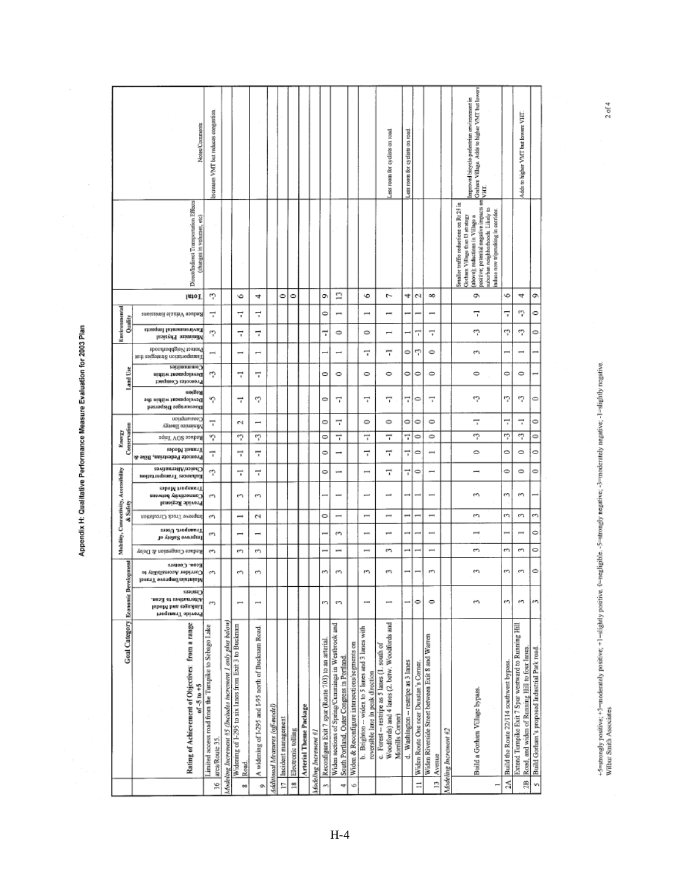|                                       | Notes/Comments                                                                         | Increases VMT but reduces congestion                                   |                                                              |                                                                |                                                     |                                 |                        |                    |                        |                       |                                                     |                                                                                                   |                                               |                                                                                       | ess room for cyclists on road                                                                                       | road<br>Les room for cyclists on     |                                        |                                                            |                       | Geeharn Village. Adde to higher VMT but lowers<br>Improved bicycle-pedestrian environment in<br>ĮН                                                                                                                                       |                                         | Adds to higher VMT but lowers VHT                                                                     |                                              |
|---------------------------------------|----------------------------------------------------------------------------------------|------------------------------------------------------------------------|--------------------------------------------------------------|----------------------------------------------------------------|-----------------------------------------------------|---------------------------------|------------------------|--------------------|------------------------|-----------------------|-----------------------------------------------------|---------------------------------------------------------------------------------------------------|-----------------------------------------------|---------------------------------------------------------------------------------------|---------------------------------------------------------------------------------------------------------------------|--------------------------------------|----------------------------------------|------------------------------------------------------------|-----------------------|------------------------------------------------------------------------------------------------------------------------------------------------------------------------------------------------------------------------------------------|-----------------------------------------|-------------------------------------------------------------------------------------------------------|----------------------------------------------|
|                                       | Direct/Indirect Transportation Effects<br>(changes in volumes, etc)                    |                                                                        |                                                              |                                                                |                                                     |                                 |                        |                    |                        |                       |                                                     |                                                                                                   |                                               |                                                                                       |                                                                                                                     |                                      |                                        |                                                            |                       | 8<br>.드<br>Smaller traffic reductions on Rt 25<br>positive; potential negative impacts<br>suburban neighborhoods. Likely to<br>induce new tripenshing in cocridor<br>Gotham Village than 13 strategy<br>(above); reductions in Village a |                                         |                                                                                                       |                                              |
|                                       | latoT                                                                                  | 7                                                                      |                                                              | ه                                                              | 4                                                   |                                 | 0                      | $\circ$            |                        |                       | c                                                   | ≘                                                                                                 |                                               | ۰                                                                                     | r                                                                                                                   | 41                                   | N                                      | ∞                                                          |                       | ۰                                                                                                                                                                                                                                        | Φ                                       | 4                                                                                                     | Φ                                            |
|                                       | <b>Rockey Velsicle Emissions</b>                                                       | 7                                                                      |                                                              | 7                                                              | 7                                                   |                                 |                        |                    |                        |                       | 0                                                   | $\overline{\phantom{a}}$                                                                          |                                               | $\overline{\phantom{0}}$                                                              | −                                                                                                                   |                                      |                                        |                                                            |                       | 7                                                                                                                                                                                                                                        | 7                                       | Υ                                                                                                     | C                                            |
| Environmental<br>Quality              | ziaquil Istuanuoriva'l<br>Insiered vanningel                                           | φ                                                                      |                                                              | 7                                                              | 7                                                   |                                 |                        |                    |                        |                       | Ŧ                                                   | ⇨                                                                                                 |                                               | っ                                                                                     | -                                                                                                                   |                                      | π                                      | 7                                                          |                       | ش                                                                                                                                                                                                                                        | ش                                       | ా                                                                                                     | ¢                                            |
|                                       | sboomoddgisM saatur a<br>Mitr asigoteri & noitetroqeneril                              | -                                                                      |                                                              | $\overline{\phantom{a}}$                                       |                                                     |                                 |                        |                    |                        |                       |                                                     |                                                                                                   |                                               | 7                                                                                     | 7                                                                                                                   | ۰                                    | η                                      | 0                                                          |                       | ĉ                                                                                                                                                                                                                                        | −                                       | $\overline{\phantom{0}}$                                                                              |                                              |
| š                                     | <b>Communities</b><br>nimiw tnsmqolavsU                                                | φ                                                                      |                                                              | 7                                                              | π                                                   |                                 |                        |                    |                        |                       | ⇨                                                   | 0                                                                                                 |                                               | ٥                                                                                     | ⇨                                                                                                                   | 0                                    | ٥                                      | 0                                                          |                       | ۰                                                                                                                                                                                                                                        | $\Rightarrow$                           | $\Rightarrow$                                                                                         |                                              |
| Land                                  | Premotes Compact<br><b>Reigen</b><br>Jbevelopment within the<br>hsenqaift togennossifl | っ                                                                      |                                                              | T                                                              | ఌ                                                   |                                 |                        |                    |                        |                       | 0                                                   | 7                                                                                                 |                                               | 7                                                                                     | 7                                                                                                                   | 7                                    | ¢                                      | 7                                                          |                       | ω,                                                                                                                                                                                                                                       | φ                                       | Φ                                                                                                     | c                                            |
|                                       | Consumption<br><b>Great Scinning</b>                                                   | 7                                                                      |                                                              | N                                                              | $\overline{\phantom{0}}$                            |                                 |                        |                    |                        |                       | 0                                                   | 7                                                                                                 |                                               | ۰                                                                                     | 0                                                                                                                   | 0                                    | 0                                      | 0                                                          |                       | T                                                                                                                                                                                                                                        | 7                                       | 7                                                                                                     | c                                            |
| Conservation<br>Energy                | aqisT VOS saubsAl                                                                      | r                                                                      |                                                              | ņ                                                              | ņ                                                   |                                 |                        |                    |                        |                       | Ο                                                   | 7                                                                                                 |                                               | 7                                                                                     | T                                                                                                                   | 7                                    | Ó                                      | 0                                                          |                       | φ                                                                                                                                                                                                                                        | η                                       | ٺ                                                                                                     | ¢                                            |
|                                       | səbəld fiansı'li<br>Promote Pedestrian, Bike &                                         | 7                                                                      |                                                              | T                                                              | 7                                                   |                                 |                        |                    |                        |                       | 0                                                   | 1                                                                                                 |                                               | 7                                                                                     | 7                                                                                                                   | 7                                    | 0                                      | $\overline{\phantom{a}}$                                   |                       | O                                                                                                                                                                                                                                        | ⊝                                       | 0                                                                                                     | c                                            |
|                                       | Choice/Alternatives<br>noitstroqenerT soonsdall                                        | φ                                                                      |                                                              | T                                                              | 7                                                   |                                 |                        |                    |                        |                       | 0                                                   | Ī                                                                                                 |                                               | $\overline{\phantom{a}}$                                                              | 7                                                                                                                   | 7                                    | 0                                      | -                                                          |                       | $\overline{\phantom{0}}$                                                                                                                                                                                                                 | 0                                       | $\circ$                                                                                               | ¢                                            |
| Mability, Cennectivity, Accessibility | esboM troqenerT<br>Совитесции реплет<br>knoisaX abivor¶                                | 5                                                                      |                                                              | c                                                              | ĉ                                                   |                                 |                        |                    |                        |                       |                                                     |                                                                                                   |                                               | $\overline{\phantom{0}}$                                                              | ⊣                                                                                                                   | -                                    |                                        | $\overline{\phantom{0}}$                                   |                       | S                                                                                                                                                                                                                                        | en                                      | S                                                                                                     |                                              |
| & Safety                              | mprove Truck Circulation                                                               | w                                                                      |                                                              | m,                                                             | N                                                   |                                 |                        |                    |                        |                       | c                                                   |                                                                                                   |                                               | $\overline{\phantom{a}}$                                                              | $\overline{\phantom{a}}$                                                                                            | ÷                                    |                                        | -                                                          |                       | c                                                                                                                                                                                                                                        | m                                       | S                                                                                                     | cr,                                          |
|                                       | enself .hoqramril<br>yo AsoneS ovonquil                                                | 3                                                                      |                                                              | $\overline{ }$                                                 |                                                     |                                 |                        |                    |                        |                       |                                                     | 3                                                                                                 |                                               | $\overline{\phantom{a}}$                                                              | ⊣                                                                                                                   |                                      |                                        |                                                            |                       |                                                                                                                                                                                                                                          |                                         |                                                                                                       | ¢                                            |
|                                       | γsloΩ 35 noùzegno⊃ soubsЯ                                                              | $\tilde{\phantom{a}}$                                                  |                                                              | 5                                                              | S                                                   |                                 |                        |                    |                        |                       |                                                     | m                                                                                                 |                                               | $\overline{\phantom{a}}$                                                              | S                                                                                                                   |                                      |                                        |                                                            |                       | S                                                                                                                                                                                                                                        | en,                                     | m                                                                                                     | Ç                                            |
| velopment                             | Eton. Centers<br>Corridor Accessibility to<br>loverT svongmUniatniaM                   | ç                                                                      |                                                              | لينا                                                           | S                                                   |                                 |                        |                    |                        |                       | m                                                   | çή.                                                                                               |                                               | S                                                                                     | ω                                                                                                                   | -                                    |                                        | ŝ                                                          |                       | S                                                                                                                                                                                                                                        | S                                       | S                                                                                                     | c                                            |
|                                       | Centers<br>VIGELINIONER 20 ECOUT<br>Linksges and Model<br>ivoqtaariT abiver¶           | m                                                                      |                                                              | -                                                              | 1                                                   |                                 |                        |                    |                        |                       | 3                                                   | m                                                                                                 |                                               | $\overline{\phantom{0}}$                                                              |                                                                                                                     | ı                                    | ٥                                      | 0                                                          |                       | S                                                                                                                                                                                                                                        | 3                                       | ŝ                                                                                                     | ę۴                                           |
| Goal Category Economic De-            | Rating of Achievement of Objectives: from a range<br>of -5 to +5                       | Limited access road from the Turnpike to Sebago Lake<br>area/Route 35. | Modeling Increment #5 (Includes increment I only plus below) | Widening of I-295 to six lanes from Exit 3 to Bucknam<br>Road. | A widening of I-295 and I-95 north of Bucknam Road. | Additional Measures (off-model) | 17 Incident management | Electronic tolling | Arterial Theme Package | Modeling Increment #1 | Reconfigure Exit 7 spur (Route 703) to an arterial. | Widen sections of Spring/Cummings in Westbrook and<br>South Portland, Outer Congress in Portland. | Widen & Reconfigure intersections/segments on | b. Brighton -- widen to 5 lanes and 3 lanes with<br>reversible lane in peak direction | Woodfords) and 4 lanes (2. betw. Woodfords and<br>c. Forest -- restripe as 5 lanes (1. south of<br>Morrills Corner) | d. Washington -- restripe as 3 lanes | Widen Route One near Dunstan's Corner. | Widen Riverside Street between Exit 8 and Warren<br>Avenue | Modeling Increment #2 | Build a Gorham Village bypass.                                                                                                                                                                                                           | Build the Route 22/114 southwest bypass | Extend Tumpike Exit 7 Spar westward to Running Hill<br>Road, and widen of Running Hill to four lanes, | Baild Gorbam's neonosad Industrial Park road |
|                                       |                                                                                        | $\frac{8}{16}$                                                         |                                                              | őã                                                             | ò                                                   |                                 |                        | $\frac{8}{10}$     |                        |                       | ę۳,                                                 | 4                                                                                                 | φ                                             |                                                                                       |                                                                                                                     |                                      | $\equiv$                               | Ë                                                          |                       | ÷                                                                                                                                                                                                                                        | 24                                      | 28                                                                                                    | Į                                            |

+5=strongly positive; +3=moderately positive; +1−slightly positive. 0=negligible. -5=strongly negative; -3=moderately negative; -1=slightly negative.<br>Wilbut Smith Associates

 $2$  of 4

 $H-4$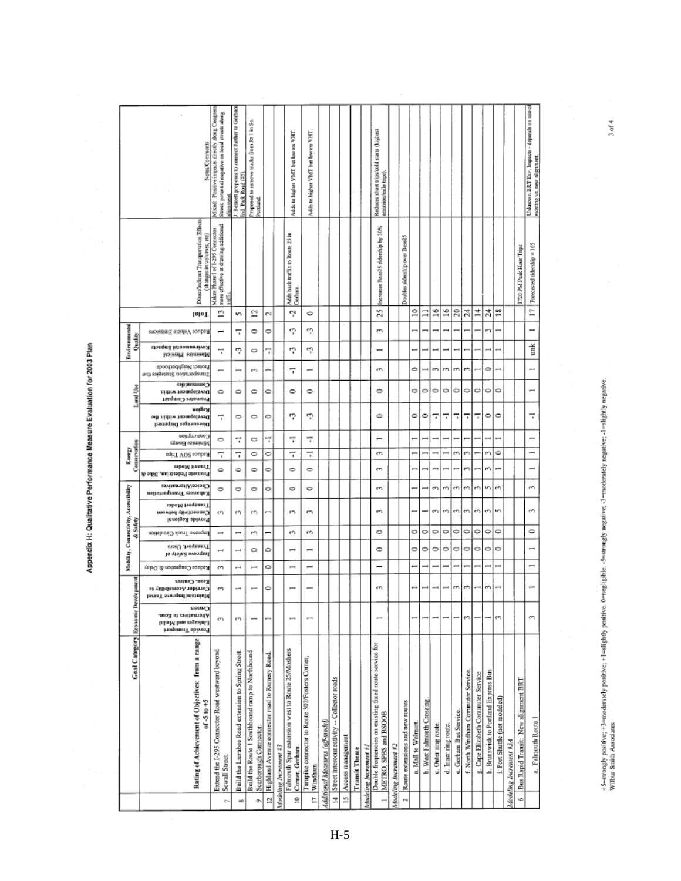|              | Goal Category Economic Development                                              |                                                                     |                                                      |                                                                    | & Safety                  | Mobility, Connectivity, Accessibility                         |                                                      |                            | Conservation<br><b>Easter</b> |                                                   | Land Use                               |                              |                                                        | Environmental<br>Quality                           |                |                                                                                     |                                                                                                                           |  |
|--------------|---------------------------------------------------------------------------------|---------------------------------------------------------------------|------------------------------------------------------|--------------------------------------------------------------------|---------------------------|---------------------------------------------------------------|------------------------------------------------------|----------------------------|-------------------------------|---------------------------------------------------|----------------------------------------|------------------------------|--------------------------------------------------------|----------------------------------------------------|----------------|-------------------------------------------------------------------------------------|---------------------------------------------------------------------------------------------------------------------------|--|
|              |                                                                                 | Alternatives to Kcon.<br>Isbelvi bas ssgsalni.l<br>rnqanrıT əbivor¶ | Corridor Accessibility to<br>lszerT svongnf/nistninM | ens!) .tropenerT<br>lo vishe sverquil<br>Reduce Congestion & Delay | Improve Truck Circulation | zabolů ivoqeanril<br>Connectivity hetweet<br>Innoigs& shivor¶ | <b>Choice/Alternatives</b><br>melnivoqzasyT asomadaM | Promote Pedestrian, Bike & | aqirT VO2 soubsA              | Development within the<br>baeraqzifI zagerunasifI | Development within<br>Promotes Compact | terb saigsteri2 noàstroqannT | lesised <sup>q</sup> ssiminiM<br>Protect Neighborhoods | Reduce Vahida Emissions<br>cisequit leinsmoonivn'i |                |                                                                                     |                                                                                                                           |  |
|              | Rating of Achievement of Objectives: from a range<br>of -5 to +5                | Centers                                                             | Read Centers                                         |                                                                    |                           |                                                               |                                                      | zəbold ilzamT              | vgrand sximinik/              | Coasuman                                          | noigaAl                                | Communics                    |                                                        |                                                    | latoT          | Direct/Indirect Transportation Effects<br>(changes in volumes, etc)                 | Notes/Comments                                                                                                            |  |
| ţ.           | Extend the I-295 Connector Road westward beyond<br>Sewall Street                | $(\mathbf{r})$                                                      | c                                                    | $\overline{\phantom{a}}$<br>ĉ                                      | $\overline{\phantom{a}}$  | m                                                             | ٥                                                    | ۰                          | π                             | 7<br>c                                            | 0                                      | m                            | ╦                                                      | J                                                  | 2              | more effective at drawing additional<br>dakes Phase I of 1-295 Connector<br>traffic | Mixed: Positive impacts directly along Congres<br>Sinot; potential negative on local streets along<br><b>All calliers</b> |  |
| 66           | Build the Larrabee Road extension to Spring Street.                             | m                                                                   |                                                      |                                                                    | $\overline{\phantom{a}}$  | 4                                                             | 0                                                    | 0                          | 7                             | ۰<br>7                                            | 0                                      | $\overline{\phantom{a}}$     | φ                                                      | 7                                                  | s              |                                                                                     | I. Beniett proposes to connect further to Godhan<br>Ind. Park Road (#5)                                                   |  |
| o,           | Build the Route 1 Southbound ramp to Northbound<br>Scarborough Connector.       |                                                                     |                                                      | 0                                                                  | c                         | e,                                                            | Õ                                                    | 0                          | ٥                             | O<br>c                                            | $\circ$                                | S                            | 0                                                      | 0                                                  | ≌              |                                                                                     | Proposed to remove trucks from Rt 1 in So.<br>Portland                                                                    |  |
| $\mathbb{Z}$ | Highland Avenue connector road to Rumery Road.                                  |                                                                     | 0                                                    | 0<br>0                                                             |                           |                                                               | 0                                                    | ⇨                          | 0                             | O<br>7                                            | 0                                      |                              | 7                                                      | 0                                                  | Σ              |                                                                                     |                                                                                                                           |  |
|              | fockling Increment #3                                                           |                                                                     |                                                      |                                                                    |                           |                                                               |                                                      |                            |                               |                                                   |                                        |                              |                                                        |                                                    |                |                                                                                     |                                                                                                                           |  |
| $\cong$      | Falmouth Spur extension west to Route 25/Moshers<br>Corner, Gorham.             |                                                                     |                                                      | $\overline{\phantom{0}}$                                           | 5                         | $\epsilon$                                                    | 0                                                    | ۰                          | 7                             | φ<br>7                                            | ⇨                                      | 7                            | φ                                                      | గు                                                 | ې              | Adds back traffic to Route 25 in<br>Gerham                                          | Adds to higher VMT but lowers VHT                                                                                         |  |
| Þ            | Turnpike connector to Route 302/Fosters Corner,<br>Windham                      |                                                                     |                                                      |                                                                    | 3                         | S                                                             | 0                                                    | 0                          | 7                             | ش<br>7                                            | 0                                      | $\overline{\phantom{a}}$     | φ                                                      | 17                                                 | 0              |                                                                                     | Adds to higher VMT but lowers VHT                                                                                         |  |
|              | dditional Measures (off-model)                                                  |                                                                     |                                                      |                                                                    |                           |                                                               |                                                      |                            |                               |                                                   |                                        |                              |                                                        |                                                    |                |                                                                                     |                                                                                                                           |  |
| z            | Street interconnectivity -- Collector roads                                     |                                                                     |                                                      |                                                                    |                           |                                                               |                                                      |                            |                               |                                                   |                                        |                              |                                                        |                                                    |                |                                                                                     |                                                                                                                           |  |
| Y)           | Access management                                                               |                                                                     |                                                      |                                                                    |                           |                                                               |                                                      |                            |                               |                                                   |                                        |                              |                                                        |                                                    |                |                                                                                     |                                                                                                                           |  |
|              | Transit Theme                                                                   |                                                                     |                                                      |                                                                    |                           |                                                               |                                                      |                            |                               |                                                   |                                        |                              |                                                        |                                                    |                |                                                                                     |                                                                                                                           |  |
|              | fodeling becrement #1                                                           |                                                                     |                                                      |                                                                    |                           |                                                               |                                                      |                            |                               |                                                   |                                        |                              |                                                        |                                                    |                |                                                                                     |                                                                                                                           |  |
|              | Double frequencies on existing fixed route service for<br>METRO, SPBS and BSOOB |                                                                     | çŋ                                                   | 0                                                                  | 0                         | t                                                             | ĉ                                                    | m                          | m                             | $\Rightarrow$                                     | ۰                                      | en,                          |                                                        | m                                                  | 35             | Increases Base25 ridership by 30%                                                   | Reduces short trips/cold starts (highest<br>errission/mile trips)                                                         |  |
|              | fodeling Increment #2                                                           |                                                                     |                                                      |                                                                    |                           |                                                               |                                                      |                            |                               |                                                   |                                        |                              |                                                        |                                                    |                |                                                                                     |                                                                                                                           |  |
| N            | Route extensions and new routes                                                 |                                                                     |                                                      |                                                                    |                           |                                                               |                                                      |                            |                               |                                                   |                                        |                              |                                                        |                                                    |                | Doubles ridership over Base25                                                       |                                                                                                                           |  |
|              | a. Mall to Walmart.                                                             |                                                                     |                                                      | 0                                                                  | c                         |                                                               |                                                      |                            |                               | 0                                                 | 0                                      | ⇨                            |                                                        |                                                    | $\approx$      |                                                                                     |                                                                                                                           |  |
|              | b. West Falmouth Crossing                                                       |                                                                     |                                                      | 0                                                                  | Φ                         |                                                               |                                                      |                            |                               | ۰                                                 | ⊝                                      |                              |                                                        |                                                    |                |                                                                                     |                                                                                                                           |  |
|              | c. Outer ring route.                                                            |                                                                     |                                                      | 0                                                                  | 0                         | m                                                             |                                                      |                            |                               | 7                                                 | 0                                      | 3                            |                                                        |                                                    | $\frac{6}{2}$  |                                                                                     |                                                                                                                           |  |
|              | d. Inner ring route.                                                            |                                                                     | $\overline{\phantom{a}}$                             | $\circ$                                                            | ۰                         | m                                                             | رى                                                   |                            |                               | 7                                                 | o                                      | S                            |                                                        | m                                                  | 16             |                                                                                     |                                                                                                                           |  |
|              | e. Gorham Bus Service.                                                          |                                                                     | ĉ                                                    | 0                                                                  | 0                         | m                                                             | ۳٦                                                   |                            | en                            | 7                                                 | 0                                      | ما                           |                                                        |                                                    | S              |                                                                                     |                                                                                                                           |  |
|              | f. North Windham Commuter Service.                                              | eη                                                                  | ω                                                    | 0                                                                  | 0                         | çñ,                                                           | m                                                    | m                          | e,                            | 7                                                 | 0                                      | m                            |                                                        |                                                    | 24             |                                                                                     |                                                                                                                           |  |
|              | g. Cape Elizabeth Commuter Service                                              |                                                                     |                                                      | ⇨                                                                  | 0                         | m                                                             | e                                                    |                            |                               | 7                                                 | 0                                      |                              |                                                        |                                                    | 4              |                                                                                     |                                                                                                                           |  |
|              | h. Brunswick to Portland Express Bus                                            |                                                                     | ω                                                    | ⇨                                                                  | 0                         | లా                                                            | s                                                    | 5                          | 5                             | ۰                                                 | ٥                                      | 0                            |                                                        |                                                    | 24<br>ຕ        |                                                                                     |                                                                                                                           |  |
|              | i. Port Shuttle (not modeled)                                                   | ĉ                                                                   |                                                      | $\circ$                                                            | ٥                         | m                                                             | $\epsilon \sigma$                                    |                            | 0                             | ١¢                                                | $\circ$                                |                              |                                                        |                                                    | $\frac{8}{16}$ |                                                                                     |                                                                                                                           |  |
|              | fodeling Increment #3.4                                                         |                                                                     |                                                      |                                                                    |                           |                                                               |                                                      |                            |                               |                                                   |                                        |                              |                                                        |                                                    |                |                                                                                     |                                                                                                                           |  |
| Ø            | Bus Rapid Transit: New alignment BRT                                            |                                                                     |                                                      |                                                                    |                           |                                                               |                                                      |                            |                               |                                                   |                                        |                              |                                                        |                                                    |                | 1720 PM Peak Hour Trips                                                             |                                                                                                                           |  |
|              | a. Falmouth Route 1                                                             | ch,                                                                 |                                                      |                                                                    | $\circ$                   | $\overline{\phantom{a}}$                                      | $\omega$                                             | $\overline{\phantom{a}}$   |                               | 7                                                 |                                        |                              | 首                                                      |                                                    | 17             | Forecasted ridership = 165                                                          | Unknown BRT Eav. Impacts - depends on use of<br>existing vs. new alignment                                                |  |
|              |                                                                                 |                                                                     |                                                      |                                                                    |                           |                                                               |                                                      |                            |                               |                                                   |                                        |                              |                                                        |                                                    |                |                                                                                     |                                                                                                                           |  |

 $\overline{\phantom{a}}$ 

+5=strongly positive; +3=modernacly positive; +1=slightly positive. 0=negligbble. -5=strongly negative; -3=moderately negative; -1=slightly negative.<br>Willow Smith Associates

 $3$  of  $4$